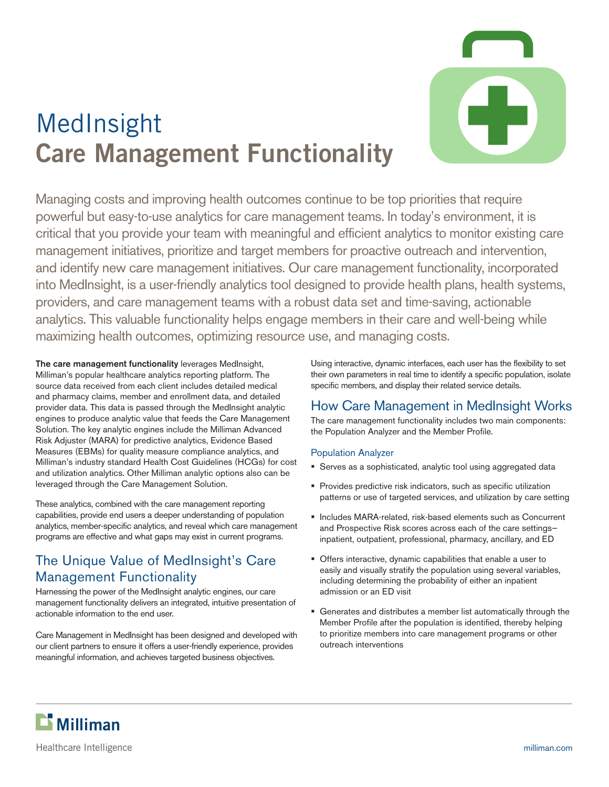

# MedInsight **Care Management Functionality**

Managing costs and improving health outcomes continue to be top priorities that require powerful but easy-to-use analytics for care management teams. In today's environment, it is critical that you provide your team with meaningful and efficient analytics to monitor existing care management initiatives, prioritize and target members for proactive outreach and intervention, and identify new care management initiatives. Our care management functionality, incorporated into MedInsight, is a user-friendly analytics tool designed to provide health plans, health systems, providers, and care management teams with a robust data set and time-saving, actionable analytics. This valuable functionality helps engage members in their care and well-being while maximizing health outcomes, optimizing resource use, and managing costs.

The care management functionality leverages MedInsight, Milliman's popular healthcare analytics reporting platform. The source data received from each client includes detailed medical and pharmacy claims, member and enrollment data, and detailed provider data. This data is passed through the MedInsight analytic engines to produce analytic value that feeds the Care Management Solution. The key analytic engines include the Milliman Advanced Risk Adjuster (MARA) for predictive analytics, Evidence Based Measures (EBMs) for quality measure compliance analytics, and Milliman's industry standard Health Cost Guidelines (HCGs) for cost and utilization analytics. Other Milliman analytic options also can be leveraged through the Care Management Solution.

These analytics, combined with the care management reporting capabilities, provide end users a deeper understanding of population analytics, member-specific analytics, and reveal which care management programs are effective and what gaps may exist in current programs.

### The Unique Value of MedInsight's Care Management Functionality

Harnessing the power of the MedInsight analytic engines, our care management functionality delivers an integrated, intuitive presentation of actionable information to the end user.

Care Management in MedInsight has been designed and developed with our client partners to ensure it offers a user-friendly experience, provides meaningful information, and achieves targeted business objectives.

Using interactive, dynamic interfaces, each user has the flexibility to set their own parameters in real time to identify a specific population, isolate specific members, and display their related service details.

## How Care Management in MedInsight Works

The care management functionality includes two main components: the Population Analyzer and the Member Profile.

#### Population Analyzer

- **Serves as a sophisticated, analytic tool using aggregated data**
- Provides predictive risk indicators, such as specific utilization patterns or use of targeted services, and utilization by care setting
- Includes MARA-related, risk-based elements such as Concurrent and Prospective Risk scores across each of the care settings inpatient, outpatient, professional, pharmacy, ancillary, and ED
- Offers interactive, dynamic capabilities that enable a user to easily and visually stratify the population using several variables, including determining the probability of either an inpatient admission or an ED visit
- Generates and distributes a member list automatically through the Member Profile after the population is identified, thereby helping to prioritize members into care management programs or other outreach interventions



Healthcare Intelligence